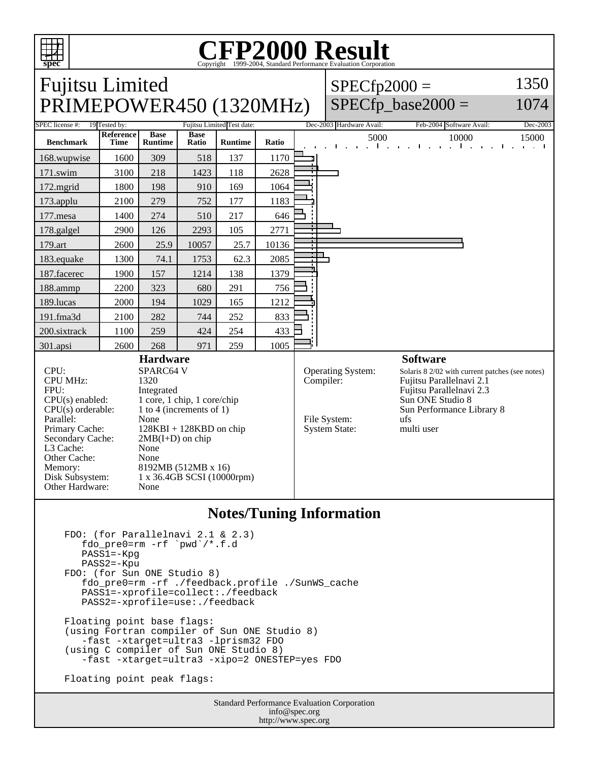

L3 Cache: None Other Cache: None

Other Hardware: None

Memory: 8192MB (512MB x 16) Disk Subsystem: 1 x 36.4GB SCSI (10000rpm)

## **CFP2000 Result** Copyright  $©1999-2004$ , Standard P

Fujitsu Limited  $SPECfp2000 =$ 1350 PRIMEPOWER450 (1320MHz) SPECfp base2000  $=$ 1074 SPEC license #: 19 Tested by: Fujitsu Limited Test date: Dec-2003 Hardware Avail: Feb-2004 Software Avail: Dec-2003 **Reference Base Base Ratio Runtime Ratio** 5000 10000 15000 **Benchmark Time Runtime** 168.wupwise 1600 309 518 137 1170 171.swim | 3100 | 218 | 1423 | 118 | 2628 172.mgrid | 1800 | 198 | 910 | 169 | 1064 173.applu | 2100 | 279 | 752 | 177 | 1183 177.mesa | 1400 | 274 | 510 | 217 | 646 178.galgel | 2900 | 126 | 2293 | 105 | 2771 179.art 2600 25.9 10057 25.7 10136 ┑ 183.equake 1300 74.1 1753 62.3 2085 187.facerec | 1900 | 157 | 1214 | 138 | 1379 188.ammp | 2200 | 323 | 680 | 291 | 756 189.lucas | 2000 | 194 | 1029 | 165 | 1212 191.fma3d 2100 282 744 252 833 200.sixtrack 1100 259 424 254 433 301.apsi | 2600 | 268 | 971 | 259 | 1005 **Hardware Software** CPU: SPARC64 V<br>CPU MHz: 1320 Operating System: Solaris 8 2/02 with current patches (see notes)<br>Compiler: Fujitsu Parallelnavi 2.1 CPU MHz: Fujitsu Parallelnavi 2.1 FPU: Integrated<br>CPU(s) enabled: 1 core, 1 c Fujitsu Parallelnavi 2.3  $CPU(s)$  enabled: 1 core, 1 chip, 1 core/chip<br>CPU(s) orderable: 1 to 4 (increments of 1) Sun ONE Studio 8 1 to 4 (increments of 1) Sun Performance Library 8 File System: ufs Parallel: None<br>Primary Cache: 128K  $128KBI + 128KBD$  on chip System State: multi user Secondary Cache:  $2MB(I+D)$  on chip

## **Notes/Tuning Information**

```
 FDO: (for Parallelnavi 2.1 & 2.3)
   fdo_pre0=rm -rf `pwd`/*.f.d
   PASS1=-Kpg
   PASS2=-Kpu
FDO: (for Sun ONE Studio 8)
   fdo_pre0=rm -rf ./feedback.profile ./SunWS_cache
   PASS1=-xprofile=collect:./feedback
   PASS2=-xprofile=use:./feedback
Floating point base flags:
(using Fortran compiler of Sun ONE Studio 8)
   -fast -xtarget=ultra3 -lprism32 FDO
(using C compiler of Sun ONE Studio 8)
   -fast -xtarget=ultra3 -xipo=2 ONESTEP=yes FDO
Floating point peak flags:
```
Standard Performance Evaluation Corporation info@spec.org http://www.spec.org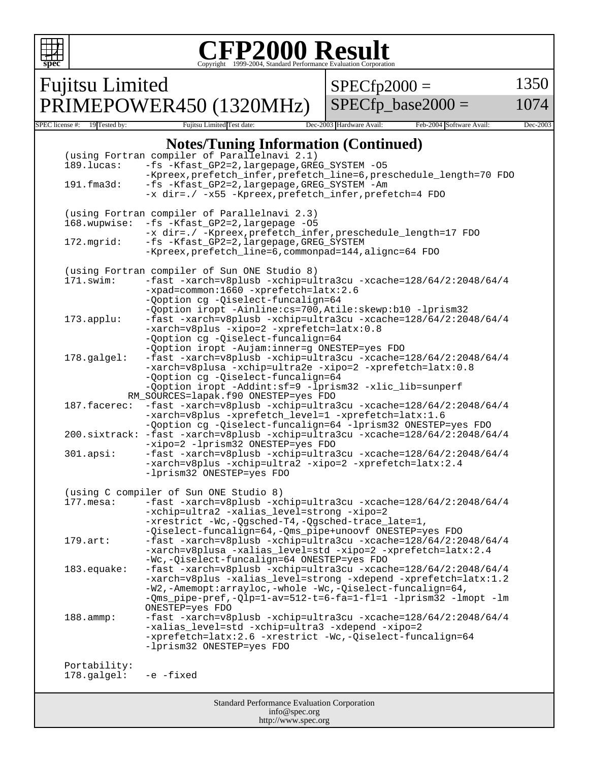| FP2000 Result<br>ht ©1999-2004. Standard Performance Evaluation Corporation<br>spec |                                                                                                                                                                                                                                                 |                                                                                                                                                                                                                                                                                                                              |                          |                          |          |
|-------------------------------------------------------------------------------------|-------------------------------------------------------------------------------------------------------------------------------------------------------------------------------------------------------------------------------------------------|------------------------------------------------------------------------------------------------------------------------------------------------------------------------------------------------------------------------------------------------------------------------------------------------------------------------------|--------------------------|--------------------------|----------|
|                                                                                     | <b>Fujitsu Limited</b>                                                                                                                                                                                                                          |                                                                                                                                                                                                                                                                                                                              | $SPECfp2000 =$           |                          | 1350     |
|                                                                                     |                                                                                                                                                                                                                                                 | PRIMEPOWER450 (1320MHz)                                                                                                                                                                                                                                                                                                      |                          | $SPECfp\_base2000 =$     | 1074     |
| SPEC license #:                                                                     | 19 Tested by:                                                                                                                                                                                                                                   | Fujitsu Limited Test date:                                                                                                                                                                                                                                                                                                   | Dec-2003 Hardware Avail: | Feb-2004 Software Avail: | Dec-2003 |
|                                                                                     | 189.lucas:<br>191.fma3d:                                                                                                                                                                                                                        | <b>Notes/Tuning Information (Continued)</b><br>(using Fortran compiler of Parallelnavi 2.1)<br>-fs -Kfast_GP2=2, largepage, GREG_SYSTEM -05<br>-Kpreex, prefetch_infer, prefetch_line=6, preschedule_length=70 FDO<br>-fs -Kfast_GP2=2, largepage, GREG_SYSTEM -Am<br>-x dir=./ -x55 -Kpreex, prefetch_infer, prefetch=4 FDO |                          |                          |          |
|                                                                                     | 168.wupwise:                                                                                                                                                                                                                                    | (using Fortran compiler of Parallelnavi 2.3)<br>-fs -Kfast_GP2=2, largepage -05<br>-x dir=./ -Kpreex, prefetch_infer, preschedule_length=17 FDO                                                                                                                                                                              |                          |                          |          |
|                                                                                     | 172.mgrid:<br>-fs -Kfast_GP2=2, largepage, GREG_SYSTEM<br>-Kpreex, prefetch_line=6, commonpad=144, alignc=64 FDO                                                                                                                                |                                                                                                                                                                                                                                                                                                                              |                          |                          |          |
|                                                                                     | $171$ .swim:                                                                                                                                                                                                                                    | (using Fortran compiler of Sun ONE Studio 8)<br>-fast -xarch=v8plusb -xchip=ultra3cu -xcache=128/64/2:2048/64/4<br>-xpad=common:1660 -xprefetch=latx:2.6<br>-Qoption cg -Qiselect-funcalign=64<br>-Qoption iropt -Ainline: cs=700, Atile: skewp: b10 -lprism32                                                               |                          |                          |          |
|                                                                                     | 173.applu:                                                                                                                                                                                                                                      | -fast -xarch=v8plusb -xchip=ultra3cu -xcache=128/64/2:2048/64/4<br>-xarch=v8plus -xipo=2 -xprefetch=latx:0.8<br>-Qoption cg -Qiselect-funcalign=64<br>-Qoption iropt -Aujam:inner=g ONESTEP=yes FDO                                                                                                                          |                          |                          |          |
|                                                                                     | 178.galgel:                                                                                                                                                                                                                                     | -fast -xarch=v8plusb -xchip=ultra3cu -xcache=128/64/2:2048/64/4<br>-xarch=v8plusa -xchip=ultra2e -xipo=2 -xprefetch=latx:0.8<br>-Qoption cg -Qiselect-funcalign=64<br>-Qoption iropt -Addint:sf=9 -lprism32 -xlic_lib=sunperf                                                                                                |                          |                          |          |
|                                                                                     | RM_SOURCES=lapak.f90 ONESTEP=yes FDO<br>187.facerec:<br>-fast -xarch=v8plusb -xchip=ultra3cu -xcache=128/64/2:2048/64/4<br>-xarch=v8plus -xprefetch_level=1 -xprefetch=latx:1.6<br>-Qoption cg -Qiselect-funcalign=64 -lprism32 ONESTEP=yes FDO |                                                                                                                                                                                                                                                                                                                              |                          |                          |          |
|                                                                                     | $200.\text{sixtrack:}$                                                                                                                                                                                                                          | -fast -xarch=v8plusb -xchip=ultra3cu -xcache=128/64/2:2048/64/4<br>-xipo=2 -lprism32 ONESTEP=yes FDO                                                                                                                                                                                                                         |                          |                          |          |
|                                                                                     | $301.\napsi:$                                                                                                                                                                                                                                   | -fast -xarch=v8plusb -xchip=ultra3cu -xcache=128/64/2:2048/64/4<br>-xarch=v8plus -xchip=ultra2 -xipo=2 -xprefetch=latx:2.4<br>-lprism32 ONESTEP=yes FDO                                                                                                                                                                      |                          |                          |          |
|                                                                                     | $177.\text{mesa}:$                                                                                                                                                                                                                              | (using C compiler of Sun ONE Studio 8)<br>-fast -xarch=v8plusb -xchip=ultra3cu -xcache=128/64/2:2048/64/4<br>-xchip=ultra2 -xalias_level=strong -xipo=2<br>-xrestrict -Wc,-Qgsched-T4,-Qgsched-trace_late=1,<br>-Qiselect-funcalign=64,-Qms_pipe+unoovf ONESTEP=yes FDO                                                      |                          |                          |          |
|                                                                                     | $179.\art:$                                                                                                                                                                                                                                     | -fast -xarch=v8plusb -xchip=ultra3cu -xcache=128/64/2:2048/64/4<br>-xarch=v8plusa -xalias_level=std -xipo=2 -xprefetch=latx:2.4<br>-Wc,-Qiselect-funcalign=64 ONESTEP=yes FDO                                                                                                                                                |                          |                          |          |
|                                                                                     | 183.equake:                                                                                                                                                                                                                                     | $-fast -xarch=v8plusb -xchip=ultra3cu -xcache=128/64/2:2048/64/4$<br>-xarch=v8plus -xalias_level=strong -xdepend -xprefetch=latx:1.2<br>-W2,-Amemopt:arrayloc,-whole -Wc,-Qiselect-funcalign=64,<br>-Qms_pipe-pref,-Qlp=1-av=512-t=6-fa=1-fl=1 -lprism32 -lmopt -lm<br>ONESTEP=yes FDO                                       |                          |                          |          |
|                                                                                     | 188.ammp:                                                                                                                                                                                                                                       | -fast -xarch=v8plusb -xchip=ultra3cu -xcache=128/64/2:2048/64/4<br>-xalias_level=std -xchip=ultra3 -xdepend -xipo=2<br>-xprefetch=latx:2.6 -xrestrict -Wc,-Qiselect-funcalign=64<br>-lprism32 ONESTEP=yes FDO                                                                                                                |                          |                          |          |
|                                                                                     | Portability:<br>178.galgel:                                                                                                                                                                                                                     | -e -fixed                                                                                                                                                                                                                                                                                                                    |                          |                          |          |
| <b>Standard Performance Evaluation Corporation</b>                                  |                                                                                                                                                                                                                                                 |                                                                                                                                                                                                                                                                                                                              |                          |                          |          |

info@spec.org http://www.spec.org